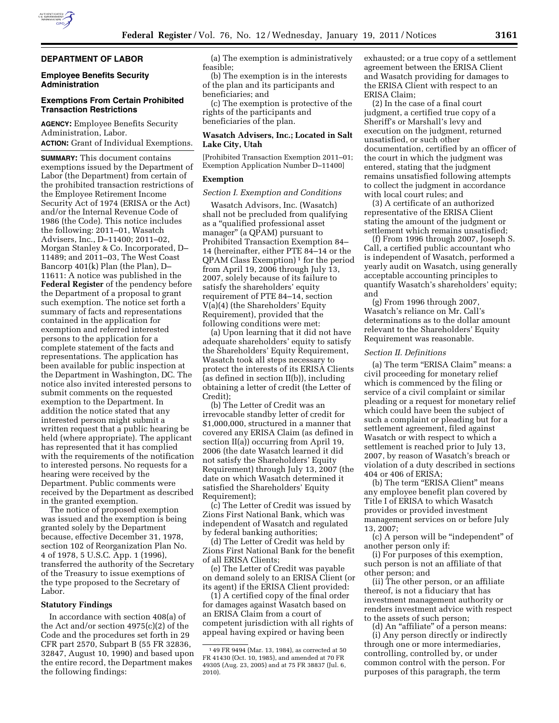# **DEPARTMENT OF LABOR**

# **Employee Benefits Security Administration**

# **Exemptions From Certain Prohibited Transaction Restrictions**

**AGENCY:** Employee Benefits Security Administration, Labor. **ACTION:** Grant of Individual Exemptions.

**SUMMARY:** This document contains exemptions issued by the Department of Labor (the Department) from certain of the prohibited transaction restrictions of the Employee Retirement Income Security Act of 1974 (ERISA or the Act) and/or the Internal Revenue Code of 1986 (the Code). This notice includes the following: 2011–01, Wasatch Advisers, Inc., D–11400; 2011–02, Morgan Stanley & Co. Incorporated, D– 11489; and 2011–03, The West Coast Bancorp 401(k) Plan (the Plan), D– 11611: A notice was published in the **Federal Register** of the pendency before the Department of a proposal to grant such exemption. The notice set forth a summary of facts and representations contained in the application for exemption and referred interested persons to the application for a complete statement of the facts and representations. The application has been available for public inspection at the Department in Washington, DC. The notice also invited interested persons to submit comments on the requested exemption to the Department. In addition the notice stated that any interested person might submit a written request that a public hearing be held (where appropriate). The applicant has represented that it has complied with the requirements of the notification to interested persons. No requests for a hearing were received by the Department. Public comments were received by the Department as described in the granted exemption.

The notice of proposed exemption was issued and the exemption is being granted solely by the Department because, effective December 31, 1978, section 102 of Reorganization Plan No. 4 of 1978, 5 U.S.C. App. 1 (1996), transferred the authority of the Secretary of the Treasury to issue exemptions of the type proposed to the Secretary of Labor.

## **Statutory Findings**

In accordance with section 408(a) of the Act and/or section 4975(c)(2) of the Code and the procedures set forth in 29 CFR part 2570, Subpart B (55 FR 32836, 32847, August 10, 1990) and based upon the entire record, the Department makes the following findings:

(a) The exemption is administratively feasible;

(b) The exemption is in the interests of the plan and its participants and beneficiaries; and

(c) The exemption is protective of the rights of the participants and beneficiaries of the plan.

## **Wasatch Advisers, Inc.; Located in Salt Lake City, Utah**

[Prohibited Transaction Exemption 2011–01; Exemption Application Number D–11400]

## **Exemption**

#### *Section I. Exemption and Conditions*

Wasatch Advisors, Inc. (Wasatch) shall not be precluded from qualifying as a ''qualified professional asset manager'' (a QPAM) pursuant to Prohibited Transaction Exemption 84– 14 (hereinafter, either PTE 84–14 or the  $QPAM Class Exemption<sup>1</sup> for the period$ from April 19, 2006 through July 13, 2007, solely because of its failure to satisfy the shareholders' equity requirement of PTE 84–14, section V(a)(4) (the Shareholders' Equity Requirement), provided that the following conditions were met:

(a) Upon learning that it did not have adequate shareholders' equity to satisfy the Shareholders' Equity Requirement, Wasatch took all steps necessary to protect the interests of its ERISA Clients (as defined in section II(b)), including obtaining a letter of credit (the Letter of Credit);

(b) The Letter of Credit was an irrevocable standby letter of credit for \$1,000,000, structured in a manner that covered any ERISA Claim (as defined in section II(a)) occurring from April 19, 2006 (the date Wasatch learned it did not satisfy the Shareholders' Equity Requirement) through July 13, 2007 (the date on which Wasatch determined it satisfied the Shareholders' Equity Requirement);

(c) The Letter of Credit was issued by Zions First National Bank, which was independent of Wasatch and regulated by federal banking authorities;

(d) The Letter of Credit was held by Zions First National Bank for the benefit of all ERISA Clients;

(e) The Letter of Credit was payable on demand solely to an ERISA Client (or its agent) if the ERISA Client provided:

(1) A certified copy of the final order for damages against Wasatch based on an ERISA Claim from a court of competent jurisdiction with all rights of appeal having expired or having been

exhausted; or a true copy of a settlement agreement between the ERISA Client and Wasatch providing for damages to the ERISA Client with respect to an ERISA Claim;

(2) In the case of a final court judgment, a certified true copy of a Sheriff's or Marshall's levy and execution on the judgment, returned unsatisfied, or such other documentation, certified by an officer of the court in which the judgment was entered, stating that the judgment remains unsatisfied following attempts to collect the judgment in accordance with local court rules; and

(3) A certificate of an authorized representative of the ERISA Client stating the amount of the judgment or settlement which remains unsatisfied;

(f) From 1996 through 2007, Joseph S. Call, a certified public accountant who is independent of Wasatch, performed a yearly audit on Wasatch, using generally acceptable accounting principles to quantify Wasatch's shareholders' equity; and

(g) From 1996 through 2007, Wasatch's reliance on Mr. Call's determinations as to the dollar amount relevant to the Shareholders' Equity Requirement was reasonable.

# *Section II. Definitions*

(a) The term "ERISA Claim" means: a civil proceeding for monetary relief which is commenced by the filing or service of a civil complaint or similar pleading or a request for monetary relief which could have been the subject of such a complaint or pleading but for a settlement agreement, filed against Wasatch or with respect to which a settlement is reached prior to July 13, 2007, by reason of Wasatch's breach or violation of a duty described in sections 404 or 406 of ERISA;

(b) The term "ERISA Client" means any employee benefit plan covered by Title I of ERISA to which Wasatch provides or provided investment management services on or before July 13, 2007;

(c) A person will be ''independent'' of another person only if:

(i) For purposes of this exemption, such person is not an affiliate of that other person; and

(ii) The other person, or an affiliate thereof, is not a fiduciary that has investment management authority or renders investment advice with respect to the assets of such person;

(d) An ''affiliate'' of a person means: (i) Any person directly or indirectly through one or more intermediaries, controlling, controlled by, or under common control with the person. For purposes of this paragraph, the term

<sup>1</sup> 49 FR 9494 (Mar. 13, 1984), as corrected at 50 FR 41430 (Oct. 10, 1985), and amended at 70 FR 49305 (Aug. 23, 2005) and at 75 FR 38837 (Jul. 6, 2010).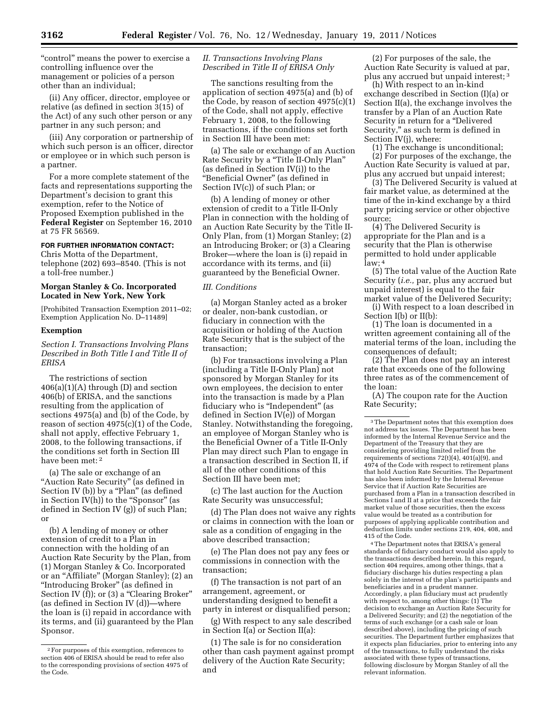"control" means the power to exercise a controlling influence over the management or policies of a person other than an individual;

(ii) Any officer, director, employee or relative (as defined in section 3(15) of the Act) of any such other person or any partner in any such person; and

(iii) Any corporation or partnership of which such person is an officer, director or employee or in which such person is a partner.

For a more complete statement of the facts and representations supporting the Department's decision to grant this exemption, refer to the Notice of Proposed Exemption published in the **Federal Register** on September 16, 2010 at 75 FR 56569.

## **FOR FURTHER INFORMATION CONTACT:**

Chris Motta of the Department, telephone (202) 693–8540. (This is not a toll-free number.)

# **Morgan Stanley & Co. Incorporated Located in New York, New York**

[Prohibited Transaction Exemption 2011–02; Exemption Application No. D–11489]

# **Exemption**

*Section I. Transactions Involving Plans Described in Both Title I and Title II of ERISA* 

The restrictions of section  $406(a)(1)(A)$  through (D) and section 406(b) of ERISA, and the sanctions resulting from the application of sections 4975(a) and (b) of the Code, by reason of section 4975(c)(1) of the Code, shall not apply, effective February 1, 2008, to the following transactions, if the conditions set forth in Section III have been met: 2

(a) The sale or exchange of an "Auction Rate Security" (as defined in Section IV (b)) by a "Plan" (as defined in Section IV(h)) to the "Sponsor" (as defined in Section IV (g)) of such Plan; or

(b) A lending of money or other extension of credit to a Plan in connection with the holding of an Auction Rate Security by the Plan, from (1) Morgan Stanley & Co. Incorporated or an ''Affiliate'' (Morgan Stanley); (2) an ''Introducing Broker'' (as defined in Section IV (f)); or (3) a "Clearing Broker" (as defined in Section IV (d))—where the loan is (i) repaid in accordance with its terms, and (ii) guaranteed by the Plan Sponsor.

# *II. Transactions Involving Plans Described in Title II of ERISA Only*

The sanctions resulting from the application of section 4975(a) and (b) of the Code, by reason of section 4975(c)(1) of the Code, shall not apply, effective February 1, 2008, to the following transactions, if the conditions set forth in Section III have been met:

(a) The sale or exchange of an Auction Rate Security by a "Title II-Only Plan" (as defined in Section IV(i)) to the ''Beneficial Owner'' (as defined in Section IV(c)) of such Plan; or

(b) A lending of money or other extension of credit to a Title II-Only Plan in connection with the holding of an Auction Rate Security by the Title II-Only Plan, from (1) Morgan Stanley; (2) an Introducing Broker; or (3) a Clearing Broker—where the loan is (i) repaid in accordance with its terms, and (ii) guaranteed by the Beneficial Owner.

# *III. Conditions*

(a) Morgan Stanley acted as a broker or dealer, non-bank custodian, or fiduciary in connection with the acquisition or holding of the Auction Rate Security that is the subject of the transaction;

(b) For transactions involving a Plan (including a Title II-Only Plan) not sponsored by Morgan Stanley for its own employees, the decision to enter into the transaction is made by a Plan fiduciary who is "Independent" (as defined in Section IV(e)) of Morgan Stanley. Notwithstanding the foregoing, an employee of Morgan Stanley who is the Beneficial Owner of a Title II-Only Plan may direct such Plan to engage in a transaction described in Section II, if all of the other conditions of this Section III have been met;

(c) The last auction for the Auction Rate Security was unsuccessful;

(d) The Plan does not waive any rights or claims in connection with the loan or sale as a condition of engaging in the above described transaction;

(e) The Plan does not pay any fees or commissions in connection with the transaction;

(f) The transaction is not part of an arrangement, agreement, or understanding designed to benefit a party in interest or disqualified person;

(g) With respect to any sale described in Section I(a) or Section II(a):

(1) The sale is for no consideration other than cash payment against prompt delivery of the Auction Rate Security; and

(2) For purposes of the sale, the Auction Rate Security is valued at par, plus any accrued but unpaid interest; 3

(h) With respect to an in-kind exchange described in Section (I)(a) or Section II(a), the exchange involves the transfer by a Plan of an Auction Rate Security in return for a ''Delivered Security,'' as such term is defined in Section IV(j), where:

(1) The exchange is unconditional;

(2) For purposes of the exchange, the Auction Rate Security is valued at par, plus any accrued but unpaid interest;

(3) The Delivered Security is valued at fair market value, as determined at the time of the in-kind exchange by a third party pricing service or other objective source;

(4) The Delivered Security is appropriate for the Plan and is a security that the Plan is otherwise permitted to hold under applicable law; 4

(5) The total value of the Auction Rate Security (*i.e.,* par, plus any accrued but unpaid interest) is equal to the fair market value of the Delivered Security;

(i) With respect to a loan described in Section I(b) or II(b):

(1) The loan is documented in a written agreement containing all of the material terms of the loan, including the consequences of default;

(2) The Plan does not pay an interest rate that exceeds one of the following three rates as of the commencement of the loan:

(A) The coupon rate for the Auction Rate Security;

4The Department notes that ERISA's general standards of fiduciary conduct would also apply to the transactions described herein. In this regard, section 404 requires, among other things, that a fiduciary discharge his duties respecting a plan solely in the interest of the plan's participants and beneficiaries and in a prudent manner. Accordingly, a plan fiduciary must act prudently with respect to, among other things: (1) The decision to exchange an Auction Rate Security for a Delivered Security; and (2) the negotiation of the terms of such exchange (or a cash sale or loan described above), including the pricing of such securities. The Department further emphasizes that it expects plan fiduciaries, prior to entering into any of the transactions, to fully understand the risks associated with these types of transactions, following disclosure by Morgan Stanley of all the relevant information.

<sup>2</sup>For purposes of this exemption, references to section 406 of ERISA should be read to refer also to the corresponding provisions of section 4975 of the Code.

<sup>&</sup>lt;sup>3</sup>The Department notes that this exemption does not address tax issues. The Department has been informed by the Internal Revenue Service and the Department of the Treasury that they are considering providing limited relief from the requirements of sections 72(t)(4), 401(a)(9), and 4974 of the Code with respect to retirement plans that hold Auction Rate Securities. The Department has also been informed by the Internal Revenue Service that if Auction Rate Securities are purchased from a Plan in a transaction described in Sections I and II at a price that exceeds the fair market value of those securities, then the excess value would be treated as a contribution for purposes of applying applicable contribution and deduction limits under sections 219, 404, 408, and 415 of the Code.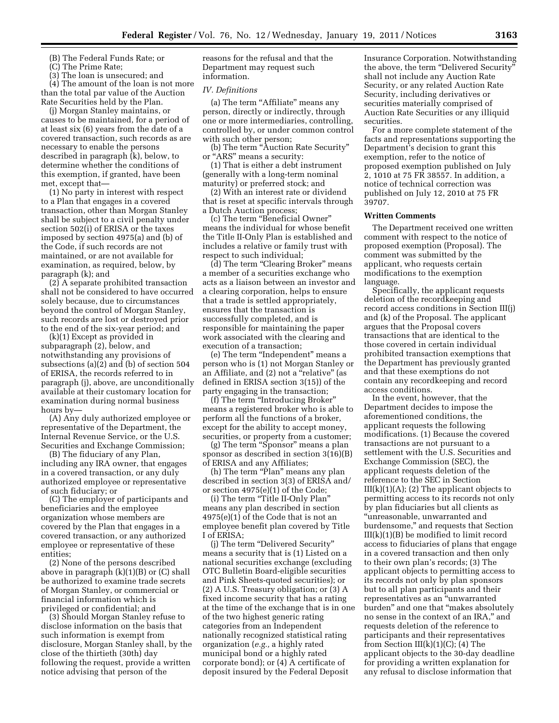(B) The Federal Funds Rate; or

(C) The Prime Rate;

(3) The loan is unsecured; and

(4) The amount of the loan is not more than the total par value of the Auction Rate Securities held by the Plan.

(j) Morgan Stanley maintains, or causes to be maintained, for a period of at least six (6) years from the date of a covered transaction, such records as are necessary to enable the persons described in paragraph (k), below, to determine whether the conditions of this exemption, if granted, have been met, except that—

(1) No party in interest with respect to a Plan that engages in a covered transaction, other than Morgan Stanley shall be subject to a civil penalty under section 502(i) of ERISA or the taxes imposed by section 4975(a) and (b) of the Code, if such records are not maintained, or are not available for examination, as required, below, by paragraph (k); and

(2) A separate prohibited transaction shall not be considered to have occurred solely because, due to circumstances beyond the control of Morgan Stanley, such records are lost or destroyed prior to the end of the six-year period; and

(k)(1) Except as provided in subparagraph (2), below, and notwithstanding any provisions of subsections (a)(2) and (b) of section 504 of ERISA, the records referred to in paragraph (j), above, are unconditionally available at their customary location for examination during normal business hours by—

(A) Any duly authorized employee or representative of the Department, the Internal Revenue Service, or the U.S. Securities and Exchange Commission;

(B) The fiduciary of any Plan, including any IRA owner, that engages in a covered transaction, or any duly authorized employee or representative of such fiduciary; or

(C) The employer of participants and beneficiaries and the employee organization whose members are covered by the Plan that engages in a covered transaction, or any authorized employee or representative of these entities;

(2) None of the persons described above in paragraph  $(k)(1)(B)$  or  $(C)$  shall be authorized to examine trade secrets of Morgan Stanley, or commercial or financial information which is privileged or confidential; and

(3) Should Morgan Stanley refuse to disclose information on the basis that such information is exempt from disclosure, Morgan Stanley shall, by the close of the thirtieth (30th) day following the request, provide a written notice advising that person of the

reasons for the refusal and that the Department may request such information.

## *IV. Definitions*

(a) The term "Affiliate" means any person, directly or indirectly, through one or more intermediaries, controlling, controlled by, or under common control with such other person;

(b) The term "Auction Rate Security" or "ARS" means a security:

(1) That is either a debt instrument (generally with a long-term nominal maturity) or preferred stock; and

(2) With an interest rate or dividend that is reset at specific intervals through a Dutch Auction process;

(c) The term ''Beneficial Owner'' means the individual for whose benefit the Title II-Only Plan is established and includes a relative or family trust with respect to such individual;

(d) The term "Clearing Broker" means a member of a securities exchange who acts as a liaison between an investor and a clearing corporation, helps to ensure that a trade is settled appropriately, ensures that the transaction is successfully completed, and is responsible for maintaining the paper work associated with the clearing and execution of a transaction;

(e) The term ''Independent'' means a person who is (1) not Morgan Stanley or an Affiliate, and (2) not a ''relative'' (as defined in ERISA section 3(15)) of the party engaging in the transaction;

(f) The term ''Introducing Broker'' means a registered broker who is able to perform all the functions of a broker, except for the ability to accept money, securities, or property from a customer;

(g) The term ''Sponsor'' means a plan sponsor as described in section 3(16)(B) of ERISA and any Affiliates;

(h) The term "Plan" means any plan described in section 3(3) of ERISA and/ or section 4975(e)(1) of the Code;

(i) The term ''Title II-Only Plan'' means any plan described in section 4975(e)(1) of the Code that is not an employee benefit plan covered by Title I of ERISA;

(j) The term ''Delivered Security'' means a security that is (1) Listed on a national securities exchange (excluding OTC Bulletin Board-eligible securities and Pink Sheets-quoted securities); or (2) A U.S. Treasury obligation; or (3) A fixed income security that has a rating at the time of the exchange that is in one of the two highest generic rating categories from an Independent nationally recognized statistical rating organization (*e.g.,* a highly rated municipal bond or a highly rated corporate bond); or (4) A certificate of deposit insured by the Federal Deposit

Insurance Corporation. Notwithstanding the above, the term "Delivered Security shall not include any Auction Rate Security, or any related Auction Rate Security, including derivatives or securities materially comprised of Auction Rate Securities or any illiquid securities.

For a more complete statement of the facts and representations supporting the Department's decision to grant this exemption, refer to the notice of proposed exemption published on July 2, 1010 at 75 FR 38557. In addition, a notice of technical correction was published on July 12, 2010 at 75 FR 39707.

#### **Written Comments**

The Department received one written comment with respect to the notice of proposed exemption (Proposal). The comment was submitted by the applicant, who requests certain modifications to the exemption language.

Specifically, the applicant requests deletion of the recordkeeping and record access conditions in Section III(j) and (k) of the Proposal. The applicant argues that the Proposal covers transactions that are identical to the those covered in certain individual prohibited transaction exemptions that the Department has previously granted and that these exemptions do not contain any recordkeeping and record access conditions.

In the event, however, that the Department decides to impose the aforementioned conditions, the applicant requests the following modifications. (1) Because the covered transactions are not pursuant to a settlement with the U.S. Securities and Exchange Commission (SEC), the applicant requests deletion of the reference to the SEC in Section  $III(k)(1)(A);$  (2) The applicant objects to permitting access to its records not only by plan fiduciaries but all clients as ''unreasonable, unwarranted and burdensome,'' and requests that Section  $III(k)(1)(B)$  be modified to limit record access to fiduciaries of plans that engage in a covered transaction and then only to their own plan's records; (3) The applicant objects to permitting access to its records not only by plan sponsors but to all plan participants and their representatives as an ''unwarranted burden'' and one that ''makes absolutely no sense in the context of an IRA,'' and requests deletion of the reference to participants and their representatives from Section III(k)(1)(C); (4) The applicant objects to the 30-day deadline for providing a written explanation for any refusal to disclose information that